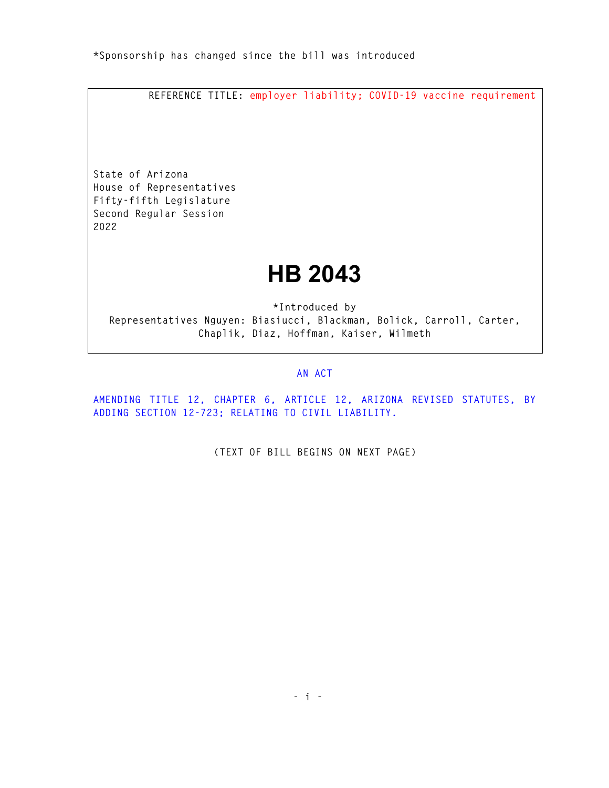**REFERENCE TITLE: employer liability; COVID-19 vaccine requirement** 

**State of Arizona House of Representatives Fifty-fifth Legislature Second Regular Session 2022** 

## **HB 2043**

**\*Introduced by Representatives Nguyen: Biasiucci, Blackman, Bolick, Carroll, Carter, Chaplik, Diaz, Hoffman, Kaiser, Wilmeth** 

## **AN ACT**

**AMENDING TITLE 12, CHAPTER 6, ARTICLE 12, ARIZONA REVISED STATUTES, BY ADDING SECTION 12-723; RELATING TO CIVIL LIABILITY.** 

**(TEXT OF BILL BEGINS ON NEXT PAGE)**